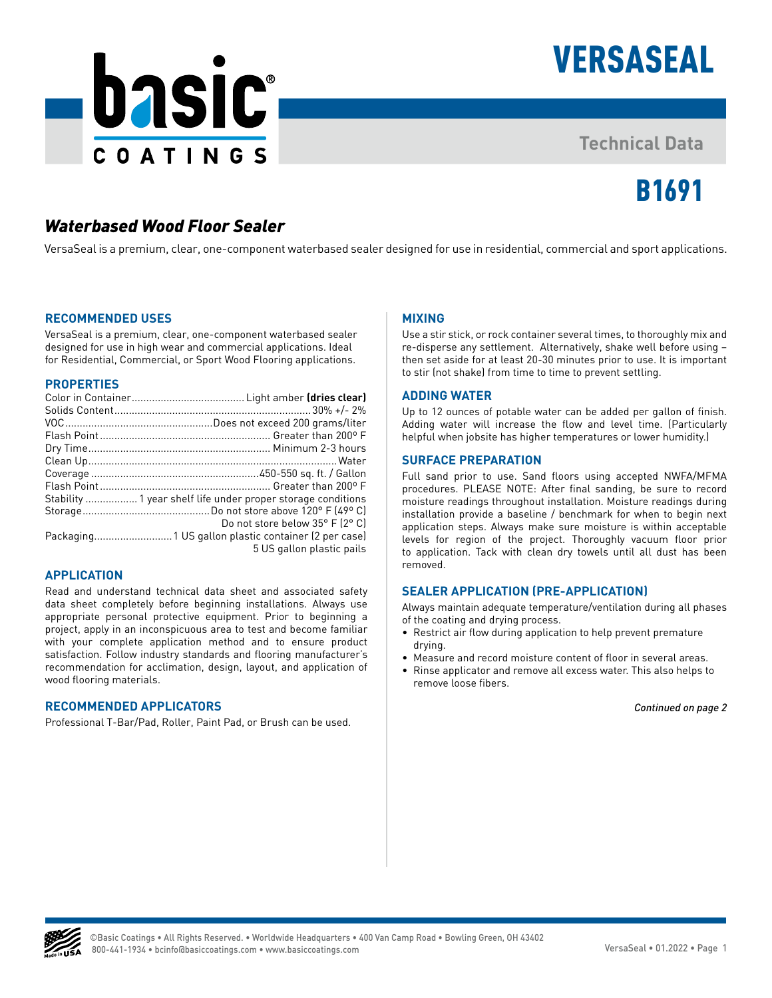



# **Technical Data**

# B1691

# *Waterbased Wood Floor Sealer*

VersaSeal is a premium, clear, one-component waterbased sealer designed for use in residential, commercial and sport applications.

#### **RECOMMENDED USES**

VersaSeal is a premium, clear, one-component waterbased sealer designed for use in high wear and commercial applications. Ideal for Residential, Commercial, or Sport Wood Flooring applications.

#### **PROPERTIES**

| Do not store below 35° F (2° C) |
|---------------------------------|
|                                 |
| 5 US gallon plastic pails       |

### **APPLICATION**

Read and understand technical data sheet and associated safety data sheet completely before beginning installations. Always use appropriate personal protective equipment. Prior to beginning a project, apply in an inconspicuous area to test and become familiar with your complete application method and to ensure product satisfaction. Follow industry standards and flooring manufacturer's recommendation for acclimation, design, layout, and application of wood flooring materials.

# **RECOMMENDED APPLICATORS**

Professional T-Bar/Pad, Roller, Paint Pad, or Brush can be used.

# **MIXING**

Use a stir stick, or rock container several times, to thoroughly mix and re-disperse any settlement. Alternatively, shake well before using – then set aside for at least 20-30 minutes prior to use. It is important to stir (not shake) from time to time to prevent settling.

# **ADDING WATER**

Up to 12 ounces of potable water can be added per gallon of finish. Adding water will increase the flow and level time. (Particularly helpful when jobsite has higher temperatures or lower humidity.)

# **SURFACE PREPARATION**

Full sand prior to use. Sand floors using accepted NWFA/MFMA procedures. PLEASE NOTE: After final sanding, be sure to record moisture readings throughout installation. Moisture readings during installation provide a baseline / benchmark for when to begin next application steps. Always make sure moisture is within acceptable levels for region of the project. Thoroughly vacuum floor prior to application. Tack with clean dry towels until all dust has been removed.

# **SEALER APPLICATION (PRE-APPLICATION)**

Always maintain adequate temperature/ventilation during all phases of the coating and drying process.

- Restrict air flow during application to help prevent premature drying.
- Measure and record moisture content of floor in several areas.
- Rinse applicator and remove all excess water. This also helps to remove loose fibers.

*Continued on page 2*